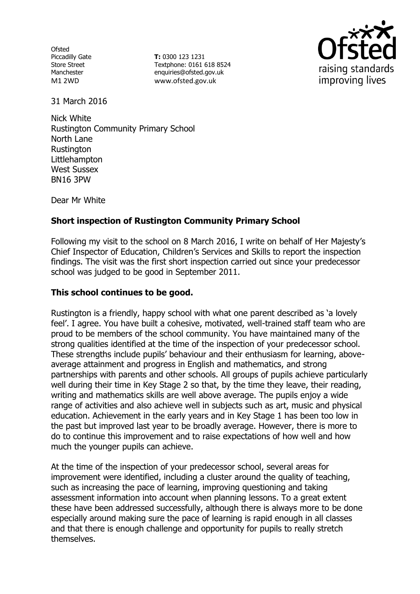**Ofsted** Piccadilly Gate Store Street Manchester M1 2WD

**T:** 0300 123 1231 Textphone: 0161 618 8524 enquiries@ofsted.gov.uk www.ofsted.gov.uk



31 March 2016

Nick White Rustington Community Primary School North Lane **Rustington** Littlehampton West Sussex BN16 3PW

Dear Mr White

## **Short inspection of Rustington Community Primary School**

Following my visit to the school on 8 March 2016, I write on behalf of Her Majesty's Chief Inspector of Education, Children's Services and Skills to report the inspection findings. The visit was the first short inspection carried out since your predecessor school was judged to be good in September 2011.

#### **This school continues to be good.**

Rustington is a friendly, happy school with what one parent described as 'a lovely feel'. I agree. You have built a cohesive, motivated, well-trained staff team who are proud to be members of the school community. You have maintained many of the strong qualities identified at the time of the inspection of your predecessor school. These strengths include pupils' behaviour and their enthusiasm for learning, aboveaverage attainment and progress in English and mathematics, and strong partnerships with parents and other schools. All groups of pupils achieve particularly well during their time in Key Stage 2 so that, by the time they leave, their reading, writing and mathematics skills are well above average. The pupils enjoy a wide range of activities and also achieve well in subjects such as art, music and physical education. Achievement in the early years and in Key Stage 1 has been too low in the past but improved last year to be broadly average. However, there is more to do to continue this improvement and to raise expectations of how well and how much the younger pupils can achieve.

At the time of the inspection of your predecessor school, several areas for improvement were identified, including a cluster around the quality of teaching, such as increasing the pace of learning, improving questioning and taking assessment information into account when planning lessons. To a great extent these have been addressed successfully, although there is always more to be done especially around making sure the pace of learning is rapid enough in all classes and that there is enough challenge and opportunity for pupils to really stretch themselves.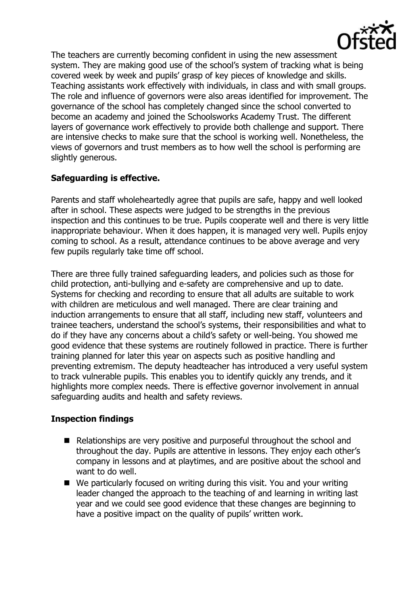

The teachers are currently becoming confident in using the new assessment system. They are making good use of the school's system of tracking what is being covered week by week and pupils' grasp of key pieces of knowledge and skills. Teaching assistants work effectively with individuals, in class and with small groups. The role and influence of governors were also areas identified for improvement. The governance of the school has completely changed since the school converted to become an academy and joined the Schoolsworks Academy Trust. The different layers of governance work effectively to provide both challenge and support. There are intensive checks to make sure that the school is working well. Nonetheless, the views of governors and trust members as to how well the school is performing are slightly generous.

## **Safeguarding is effective.**

Parents and staff wholeheartedly agree that pupils are safe, happy and well looked after in school. These aspects were judged to be strengths in the previous inspection and this continues to be true. Pupils cooperate well and there is very little inappropriate behaviour. When it does happen, it is managed very well. Pupils enjoy coming to school. As a result, attendance continues to be above average and very few pupils regularly take time off school.

There are three fully trained safeguarding leaders, and policies such as those for child protection, anti-bullying and e-safety are comprehensive and up to date. Systems for checking and recording to ensure that all adults are suitable to work with children are meticulous and well managed. There are clear training and induction arrangements to ensure that all staff, including new staff, volunteers and trainee teachers, understand the school's systems, their responsibilities and what to do if they have any concerns about a child's safety or well-being. You showed me good evidence that these systems are routinely followed in practice. There is further training planned for later this year on aspects such as positive handling and preventing extremism. The deputy headteacher has introduced a very useful system to track vulnerable pupils. This enables you to identify quickly any trends, and it highlights more complex needs. There is effective governor involvement in annual safeguarding audits and health and safety reviews.

# **Inspection findings**

- Relationships are very positive and purposeful throughout the school and throughout the day. Pupils are attentive in lessons. They enjoy each other's company in lessons and at playtimes, and are positive about the school and want to do well.
- We particularly focused on writing during this visit. You and your writing leader changed the approach to the teaching of and learning in writing last year and we could see good evidence that these changes are beginning to have a positive impact on the quality of pupils' written work.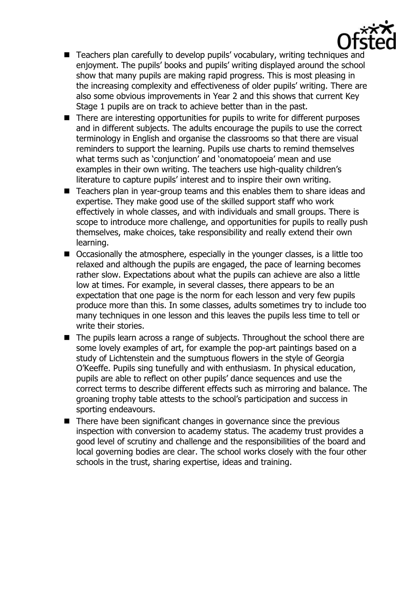

- Teachers plan carefully to develop pupils' vocabulary, writing techniques and enjoyment. The pupils' books and pupils' writing displayed around the school show that many pupils are making rapid progress. This is most pleasing in the increasing complexity and effectiveness of older pupils' writing. There are also some obvious improvements in Year 2 and this shows that current Key Stage 1 pupils are on track to achieve better than in the past.
- There are interesting opportunities for pupils to write for different purposes and in different subjects. The adults encourage the pupils to use the correct terminology in English and organise the classrooms so that there are visual reminders to support the learning. Pupils use charts to remind themselves what terms such as 'conjunction' and 'onomatopoeia' mean and use examples in their own writing. The teachers use high-quality children's literature to capture pupils' interest and to inspire their own writing.
- Teachers plan in year-group teams and this enables them to share ideas and expertise. They make good use of the skilled support staff who work effectively in whole classes, and with individuals and small groups. There is scope to introduce more challenge, and opportunities for pupils to really push themselves, make choices, take responsibility and really extend their own learning.
- Occasionally the atmosphere, especially in the younger classes, is a little too relaxed and although the pupils are engaged, the pace of learning becomes rather slow. Expectations about what the pupils can achieve are also a little low at times. For example, in several classes, there appears to be an expectation that one page is the norm for each lesson and very few pupils produce more than this. In some classes, adults sometimes try to include too many techniques in one lesson and this leaves the pupils less time to tell or write their stories.
- The pupils learn across a range of subjects. Throughout the school there are some lovely examples of art, for example the pop-art paintings based on a study of Lichtenstein and the sumptuous flowers in the style of Georgia O'Keeffe. Pupils sing tunefully and with enthusiasm. In physical education, pupils are able to reflect on other pupils' dance sequences and use the correct terms to describe different effects such as mirroring and balance. The groaning trophy table attests to the school's participation and success in sporting endeavours.
- There have been significant changes in governance since the previous inspection with conversion to academy status. The academy trust provides a good level of scrutiny and challenge and the responsibilities of the board and local governing bodies are clear. The school works closely with the four other schools in the trust, sharing expertise, ideas and training.